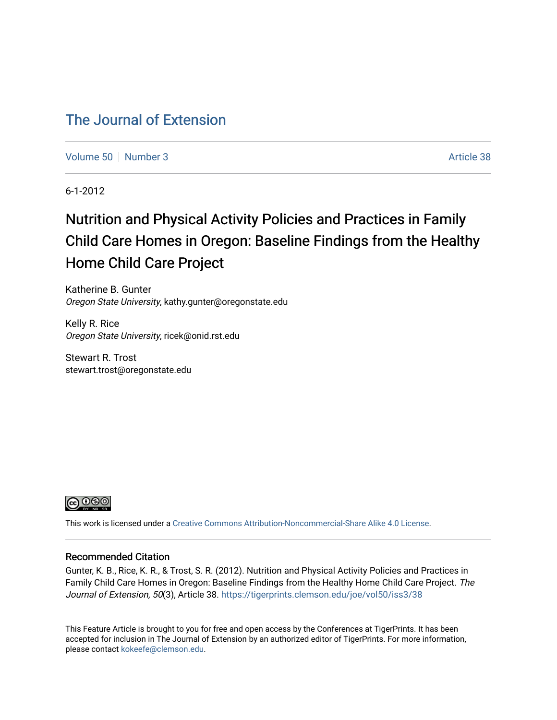# [The Journal of Extension](https://tigerprints.clemson.edu/joe)

[Volume 50](https://tigerprints.clemson.edu/joe/vol50) [Number 3](https://tigerprints.clemson.edu/joe/vol50/iss3) Article 38

6-1-2012

# Nutrition and Physical Activity Policies and Practices in Family Child Care Homes in Oregon: Baseline Findings from the Healthy Home Child Care Project

Katherine B. Gunter Oregon State University, kathy.gunter@oregonstate.edu

Kelly R. Rice Oregon State University, ricek@onid.rst.edu

Stewart R. Trost stewart.trost@oregonstate.edu



This work is licensed under a [Creative Commons Attribution-Noncommercial-Share Alike 4.0 License.](https://creativecommons.org/licenses/by-nc-sa/4.0/)

#### Recommended Citation

Gunter, K. B., Rice, K. R., & Trost, S. R. (2012). Nutrition and Physical Activity Policies and Practices in Family Child Care Homes in Oregon: Baseline Findings from the Healthy Home Child Care Project. The Journal of Extension, 50(3), Article 38. https://tigerprints.clemson.edu/joe/vol50/iss3/38

This Feature Article is brought to you for free and open access by the Conferences at TigerPrints. It has been accepted for inclusion in The Journal of Extension by an authorized editor of TigerPrints. For more information, please contact [kokeefe@clemson.edu](mailto:kokeefe@clemson.edu).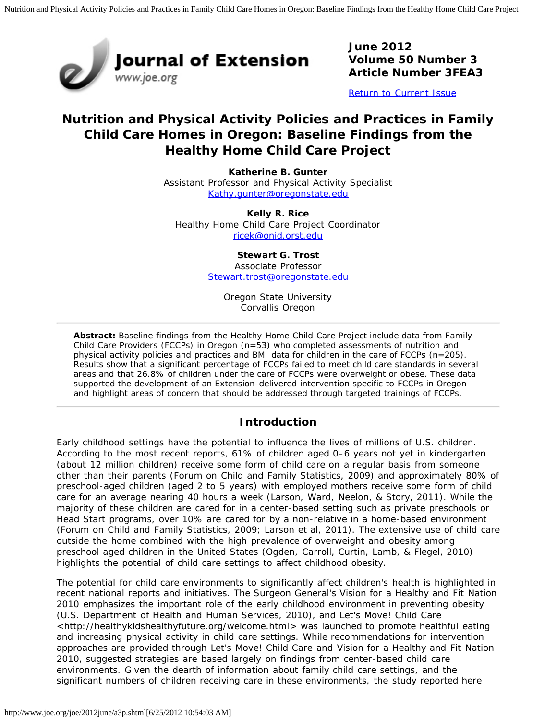

**June 2012 Volume 50 Number 3 Article Number 3FEA3**

[Return to Current Issue](http://www.joe.org/joe/2012june/)

# **Nutrition and Physical Activity Policies and Practices in Family Child Care Homes in Oregon: Baseline Findings from the Healthy Home Child Care Project**

**Katherine B. Gunter** Assistant Professor and Physical Activity Specialist [Kathy.gunter@oregonstate.edu](mailto:Kathy.gunter@oregonstate.edu)

**Kelly R. Rice** Healthy Home Child Care Project Coordinator [ricek@onid.orst.edu](mailto:ricek@onid.orst.edu)

> **Stewart G. Trost** Associate Professor [Stewart.trost@oregonstate.edu](mailto:Stewart.trost@oregonstate.edu)

> > Oregon State University Corvallis Oregon

*Abstract: Baseline findings from the Healthy Home Child Care Project include data from Family Child Care Providers (FCCPs) in Oregon (n=53) who completed assessments of nutrition and physical activity policies and practices and BMI data for children in the care of FCCPs (n=205). Results show that a significant percentage of FCCPs failed to meet child care standards in several areas and that 26.8% of children under the care of FCCPs were overweight or obese. These data supported the development of an Extension-delivered intervention specific to FCCPs in Oregon and highlight areas of concern that should be addressed through targeted trainings of FCCPs.*

### **Introduction**

Early childhood settings have the potential to influence the lives of millions of U.S. children. According to the most recent reports, 61% of children aged 0–6 years not yet in kindergarten (about 12 million children) receive some form of child care on a regular basis from someone other than their parents (Forum on Child and Family Statistics, 2009) and approximately 80% of preschool-aged children (aged 2 to 5 years) with employed mothers receive some form of child care for an average nearing 40 hours a week (Larson, Ward, Neelon, & Story, 2011). While the majority of these children are cared for in a center-based setting such as private preschools or Head Start programs, over 10% are cared for by a non-relative in a home-based environment (Forum on Child and Family Statistics, 2009; Larson et al, 2011). The extensive use of child care outside the home combined with the high prevalence of overweight and obesity among preschool aged children in the United States (Ogden, Carroll, Curtin, Lamb, & Flegel, 2010) highlights the potential of child care settings to affect childhood obesity.

The potential for child care environments to significantly affect children's health is highlighted in recent national reports and initiatives. The Surgeon General's *Vision for a Healthy and Fit Nation 2010* emphasizes the important role of the early childhood environment in preventing obesity (U.S. Department of Health and Human Services, 2010), and Let's Move! Child Care <http://healthykidshealthyfuture.org/welcome.html> was launched to promote healthful eating and increasing physical activity in child care settings. While recommendations for intervention approaches are provided through Let's Move! Child Care and *Vision for a Healthy and Fit Nation 2010,* suggested strategies are based largely on findings from center-based child care environments. Given the dearth of information about family child care settings, and the significant numbers of children receiving care in these environments, the study reported here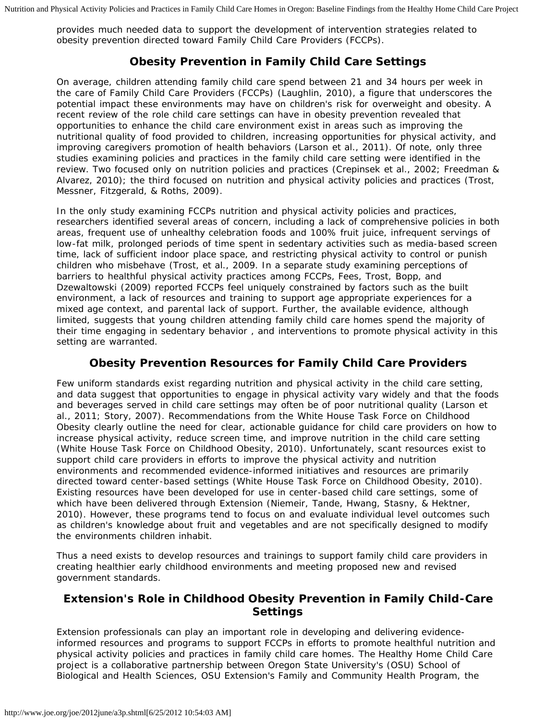provides much needed data to support the development of intervention strategies related to obesity prevention directed toward Family Child Care Providers (FCCPs).

# **Obesity Prevention in Family Child Care Settings**

On average, children attending family child care spend between 21 and 34 hours per week in the care of Family Child Care Providers (FCCPs) (Laughlin, 2010), a figure that underscores the potential impact these environments may have on children's risk for overweight and obesity. A recent review of the role child care settings can have in obesity prevention revealed that opportunities to enhance the child care environment exist in areas such as improving the nutritional quality of food provided to children, increasing opportunities for physical activity, and improving caregivers promotion of health behaviors (Larson et al., 2011). Of note, only three studies examining policies and practices in the family child care setting were identified in the review. Two focused only on nutrition policies and practices (Crepinsek et al., 2002; Freedman & Alvarez, 2010); the third focused on nutrition and physical activity policies and practices (Trost, Messner, Fitzgerald, & Roths, 2009).

In the only study examining FCCPs nutrition and physical activity policies and practices, researchers identified several areas of concern, including a lack of comprehensive policies in both areas, frequent use of unhealthy celebration foods and 100% fruit juice, infrequent servings of low-fat milk, prolonged periods of time spent in sedentary activities such as media-based screen time, lack of sufficient indoor place space, and restricting physical activity to control or punish children who misbehave (Trost, et al., 2009. In a separate study examining perceptions of barriers to healthful physical activity practices among FCCPs, Fees, Trost, Bopp, and Dzewaltowski (2009) reported FCCPs feel uniquely constrained by factors such as the built environment, a lack of resources and training to support age appropriate experiences for a mixed age context, and parental lack of support. Further, the available evidence, although limited, suggests that young children attending family child care homes spend the majority of their time engaging in sedentary behavior , and interventions to promote physical activity in this setting are warranted.

### **Obesity Prevention Resources for Family Child Care Providers**

Few uniform standards exist regarding nutrition and physical activity in the child care setting, and data suggest that opportunities to engage in physical activity vary widely and that the foods and beverages served in child care settings may often be of poor nutritional quality (Larson et al., 2011; Story, 2007). Recommendations from the White House Task Force on Childhood Obesity clearly outline the need for clear, actionable guidance for child care providers on how to increase physical activity, reduce screen time, and improve nutrition in the child care setting (White House Task Force on Childhood Obesity, 2010). Unfortunately, scant resources exist to support child care providers in efforts to improve the physical activity and nutrition environments and recommended evidence-informed initiatives and resources are primarily directed toward center-based settings (White House Task Force on Childhood Obesity, 2010). Existing resources have been developed for use in center-based child care settings, some of which have been delivered through Extension (Niemeir, Tande, Hwang, Stasny, & Hektner, 2010). However, these programs tend to focus on and evaluate individual level outcomes such as children's knowledge about fruit and vegetables and are not specifically designed to modify the environments children inhabit.

Thus a need exists to develop resources and trainings to support family child care providers in creating healthier early childhood environments and meeting proposed new and revised government standards.

## **Extension's Role in Childhood Obesity Prevention in Family Child-Care Settings**

Extension professionals can play an important role in developing and delivering evidenceinformed resources and programs to support FCCPs in efforts to promote healthful nutrition and physical activity policies and practices in family child care homes. The Healthy Home Child Care project is a collaborative partnership between Oregon State University's (OSU) School of Biological and Health Sciences, OSU Extension's Family and Community Health Program, the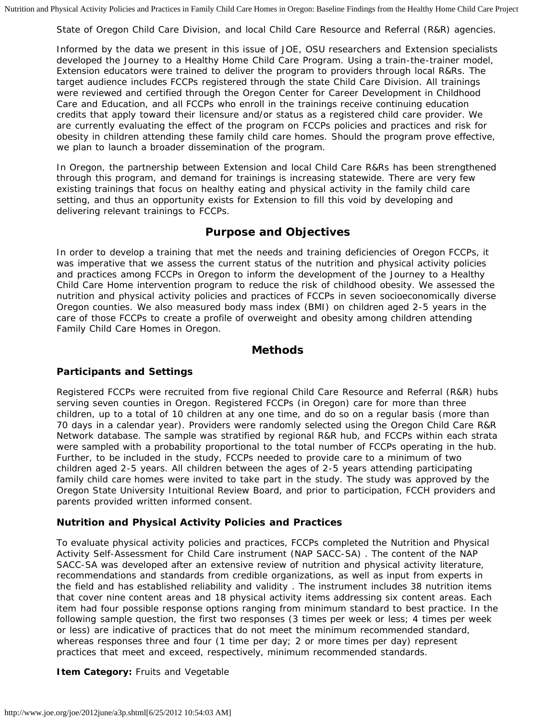State of Oregon Child Care Division, and local Child Care Resource and Referral (R&R) agencies.

Informed by the data we present in this issue of *JOE*, OSU researchers and Extension specialists developed the Journey to a Healthy Home Child Care Program. Using a train-the-trainer model, Extension educators were trained to deliver the program to providers through local R&Rs. The target audience includes FCCPs registered through the state Child Care Division. All trainings were reviewed and certified through the Oregon Center for Career Development in Childhood Care and Education, and all FCCPs who enroll in the trainings receive continuing education credits that apply toward their licensure and/or status as a registered child care provider. We are currently evaluating the effect of the program on FCCPs policies and practices and risk for obesity in children attending these family child care homes. Should the program prove effective, we plan to launch a broader dissemination of the program.

In Oregon, the partnership between Extension and local Child Care R&Rs has been strengthened through this program, and demand for trainings is increasing statewide. There are very few existing trainings that focus on healthy eating and physical activity in the family child care setting, and thus an opportunity exists for Extension to fill this void by developing and delivering relevant trainings to FCCPs.

#### **Purpose and Objectives**

In order to develop a training that met the needs and training deficiencies of Oregon FCCPs, it was imperative that we assess the current status of the nutrition and physical activity policies and practices among FCCPs in Oregon to inform the development of the Journey to a Healthy Child Care Home intervention program to reduce the risk of childhood obesity. We assessed the nutrition and physical activity policies and practices of FCCPs in seven socioeconomically diverse Oregon counties. We also measured body mass index (BMI) on children aged 2-5 years in the care of those FCCPs to create a profile of overweight and obesity among children attending Family Child Care Homes in Oregon.

#### **Methods**

#### **Participants and Settings**

Registered FCCPs were recruited from five regional Child Care Resource and Referral (R&R) hubs serving seven counties in Oregon. Registered FCCPs (in Oregon) care for more than three children, up to a total of 10 children at any one time, and do so on a regular basis (more than 70 days in a calendar year). Providers were randomly selected using the Oregon Child Care R&R Network database. The sample was stratified by regional R&R hub, and FCCPs within each strata were sampled with a probability proportional to the total number of FCCPs operating in the hub. Further, to be included in the study, FCCPs needed to provide care to a minimum of two children aged 2-5 years. All children between the ages of 2-5 years attending participating family child care homes were invited to take part in the study. The study was approved by the Oregon State University Intuitional Review Board, and prior to participation, FCCH providers and parents provided written informed consent.

#### **Nutrition and Physical Activity Policies and Practices**

To evaluate physical activity policies and practices, FCCPs completed the Nutrition and Physical Activity Self-Assessment for Child Care instrument (NAP SACC-SA) . The content of the NAP SACC-SA was developed after an extensive review of nutrition and physical activity literature, recommendations and standards from credible organizations, as well as input from experts in the field and has established reliability and validity . The instrument includes 38 nutrition items that cover nine content areas and 18 physical activity items addressing six content areas. Each item had four possible response options ranging from minimum standard to best practice. In the following sample question, the first two responses (3 times per week or less; 4 times per week or less) are indicative of practices that do not meet the minimum recommended standard, whereas responses three and four (1 time per day; 2 or more times per day) represent practices that meet and exceed, respectively, minimum recommended standards.

#### **Item Category: Fruits and Vegetable**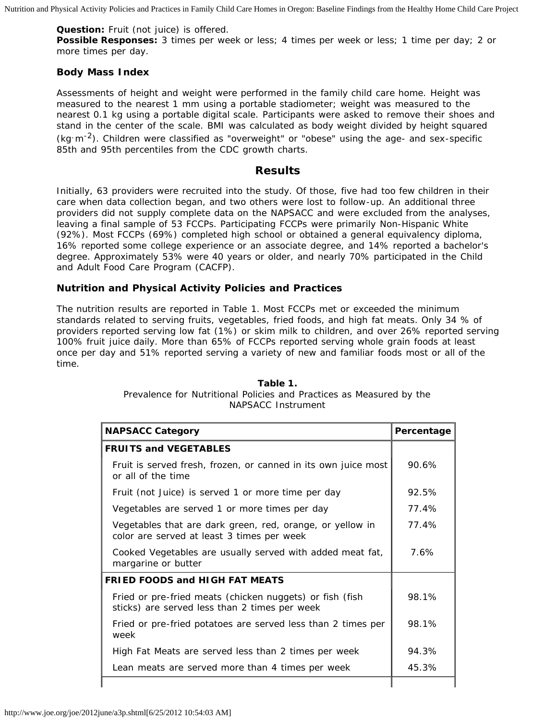**Question:** Fruit (not juice) is offered.

**Possible Responses:** 3 times per week or less; 4 times per week or less; 1 time per day; 2 or more times per day.

#### **Body Mass Index**

Assessments of height and weight were performed in the family child care home. Height was measured to the nearest 1 mm using a portable stadiometer; weight was measured to the nearest 0.1 kg using a portable digital scale. Participants were asked to remove their shoes and stand in the center of the scale. BMI was calculated as body weight divided by height squared  $(kq\,m^{-2})$ . Children were classified as "overweight" or "obese" using the age- and sex-specific 85th and 95th percentiles from the CDC growth charts.

#### **Results**

Initially, 63 providers were recruited into the study. Of those, five had too few children in their care when data collection began, and two others were lost to follow-up. An additional three providers did not supply complete data on the NAPSACC and were excluded from the analyses, leaving a final sample of 53 FCCPs. Participating FCCPs were primarily Non-Hispanic White (92%). Most FCCPs (69%) completed high school or obtained a general equivalency diploma, 16% reported some college experience or an associate degree, and 14% reported a bachelor's degree. Approximately 53% were 40 years or older, and nearly 70% participated in the Child and Adult Food Care Program (CACFP).

#### **Nutrition and Physical Activity Policies and Practices**

The nutrition results are reported in Table 1. Most FCCPs met or exceeded the minimum standards related to serving fruits, vegetables, fried foods, and high fat meats. Only 34 % of providers reported serving low fat (1%) or skim milk to children, and over 26% reported serving 100% fruit juice daily. More than 65% of FCCPs reported serving whole grain foods at least once per day and 51% reported serving a variety of new and familiar foods most or all of the time.

| <b>NAPSACC Category</b>                                                                                   | Percentage |
|-----------------------------------------------------------------------------------------------------------|------------|
| <b>FRUITS and VEGETABLES</b>                                                                              |            |
| Fruit is served fresh, frozen, or canned in its own juice most<br>or all of the time                      | 90.6%      |
| Fruit (not Juice) is served 1 or more time per day                                                        | 92.5%      |
| Vegetables are served 1 or more times per day                                                             | 77.4%      |
| Vegetables that are dark green, red, orange, or yellow in<br>color are served at least 3 times per week   | 77.4%      |
| Cooked Vegetables are usually served with added meat fat,<br>margarine or butter                          | 7.6%       |
| <b>FRIED FOODS and HIGH FAT MEATS</b>                                                                     |            |
| Fried or pre-fried meats (chicken nuggets) or fish (fish<br>sticks) are served less than 2 times per week | 98.1%      |
| Fried or pre-fried potatoes are served less than 2 times per<br>week                                      | 98.1%      |
| High Fat Meats are served less than 2 times per week                                                      | 94.3%      |
| Lean meats are served more than 4 times per week                                                          | 45.3%      |
|                                                                                                           |            |

#### **Table 1.**

Prevalence for Nutritional Policies and Practices as Measured by the NAPSACC Instrument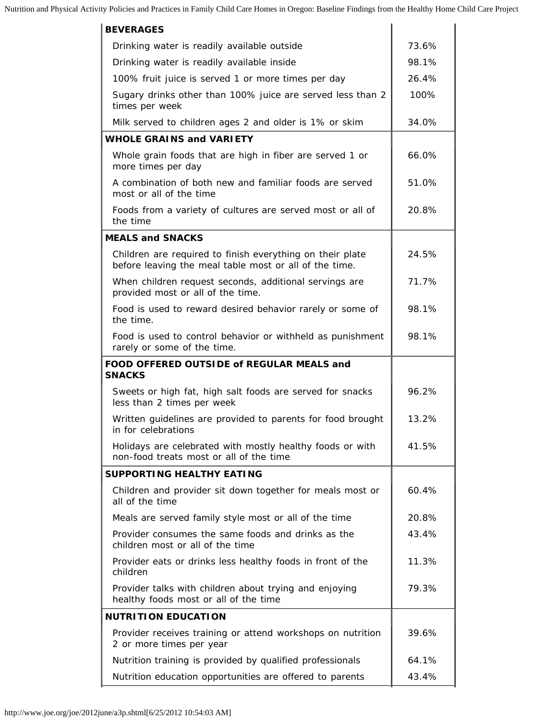| <b>BEVERAGES</b>                                                                                                    |       |
|---------------------------------------------------------------------------------------------------------------------|-------|
| Drinking water is readily available outside                                                                         | 73.6% |
| Drinking water is readily available inside                                                                          | 98.1% |
| 100% fruit juice is served 1 or more times per day                                                                  | 26.4% |
| Sugary drinks other than 100% juice are served less than 2<br>times per week                                        | 100%  |
| Milk served to children ages 2 and older is 1% or skim                                                              | 34.0% |
| <b>WHOLE GRAINS and VARIETY</b>                                                                                     |       |
| Whole grain foods that are high in fiber are served 1 or<br>more times per day                                      | 66.0% |
| A combination of both new and familiar foods are served<br>most or all of the time                                  | 51.0% |
| Foods from a variety of cultures are served most or all of<br>the time                                              | 20.8% |
| <b>MEALS and SNACKS</b>                                                                                             |       |
| Children are required to finish everything on their plate<br>before leaving the meal table most or all of the time. | 24.5% |
| When children request seconds, additional servings are<br>provided most or all of the time.                         | 71.7% |
| Food is used to reward desired behavior rarely or some of<br>the time.                                              | 98.1% |
| Food is used to control behavior or withheld as punishment<br>rarely or some of the time.                           | 98.1% |
|                                                                                                                     |       |
| FOOD OFFERED OUTSIDE of REGULAR MEALS and<br><b>SNACKS</b>                                                          |       |
| Sweets or high fat, high salt foods are served for snacks<br>less than 2 times per week                             | 96.2% |
| Written guidelines are provided to parents for food brought<br>in for celebrations                                  | 13.2% |
| Holidays are celebrated with mostly healthy foods or with<br>non-food treats most or all of the time                | 41.5% |
| <b>SUPPORTING HEALTHY EATING</b>                                                                                    |       |
| Children and provider sit down together for meals most or<br>all of the time                                        | 60.4% |
| Meals are served family style most or all of the time                                                               | 20.8% |
| Provider consumes the same foods and drinks as the<br>children most or all of the time                              | 43.4% |
| Provider eats or drinks less healthy foods in front of the<br>children                                              | 11.3% |
| Provider talks with children about trying and enjoying<br>healthy foods most or all of the time                     | 79.3% |
| <b>NUTRITION EDUCATION</b>                                                                                          |       |
| Provider receives training or attend workshops on nutrition<br>2 or more times per year                             | 39.6% |
| Nutrition training is provided by qualified professionals                                                           | 64.1% |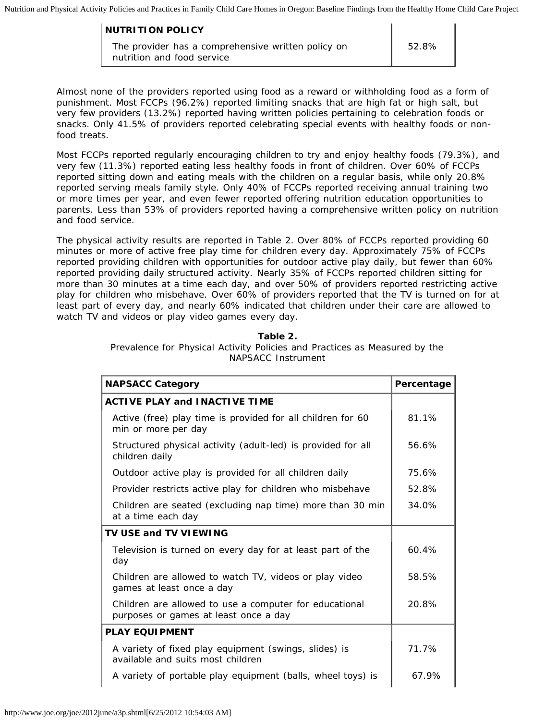| <b>NUTRITION POLICY</b>                                                          |       |
|----------------------------------------------------------------------------------|-------|
| The provider has a comprehensive written policy on<br>nutrition and food service | 52.8% |

Almost none of the providers reported using food as a reward or withholding food as a form of punishment. Most FCCPs (96.2%) reported limiting snacks that are high fat or high salt, but very few providers (13.2%) reported having written policies pertaining to celebration foods or snacks. Only 41.5% of providers reported celebrating special events with healthy foods or nonfood treats.

Most FCCPs reported regularly encouraging children to try and enjoy healthy foods (79.3%), and very few (11.3%) reported eating less healthy foods in front of children. Over 60% of FCCPs reported sitting down and eating meals with the children on a regular basis, while only 20.8% reported serving meals family style. Only 40% of FCCPs reported receiving annual training two or more times per year, and even fewer reported offering nutrition education opportunities to parents. Less than 53% of providers reported having a comprehensive written policy on nutrition and food service.

The physical activity results are reported in Table 2. Over 80% of FCCPs reported providing 60 minutes or more of active free play time for children every day. Approximately 75% of FCCPs reported providing children with opportunities for outdoor active play daily, but fewer than 60% reported providing daily structured activity. Nearly 35% of FCCPs reported children sitting for more than 30 minutes at a time each day, and over 50% of providers reported restricting active play for children who misbehave. Over 60% of providers reported that the TV is turned on for at least part of every day, and nearly 60% indicated that children under their care are allowed to watch TV and videos or play video games every day.

#### **Table 2.**

Prevalence for Physical Activity Policies and Practices as Measured by the NAPSACC Instrument

| <b>NAPSACC Category</b>                                                                         | Percentage |
|-------------------------------------------------------------------------------------------------|------------|
| <b>ACTIVE PLAY and INACTIVE TIME</b>                                                            |            |
| Active (free) play time is provided for all children for 60<br>min or more per day              | 81.1%      |
| Structured physical activity (adult-led) is provided for all<br>children daily                  | 56.6%      |
| Outdoor active play is provided for all children daily                                          | 75.6%      |
| Provider restricts active play for children who misbehave                                       | 52.8%      |
| Children are seated (excluding nap time) more than 30 min<br>at a time each day                 | 34.0%      |
| TV USE and TV VIEWING                                                                           |            |
| Television is turned on every day for at least part of the<br>day                               | 60.4%      |
| Children are allowed to watch TV, videos or play video<br>games at least once a day             | 58.5%      |
| Children are allowed to use a computer for educational<br>purposes or games at least once a day | 20.8%      |
| <b>PLAY EQUIPMENT</b>                                                                           |            |
| A variety of fixed play equipment (swings, slides) is<br>available and suits most children      | 71.7%      |
| A variety of portable play equipment (balls, wheel toys) is                                     | 67.9%      |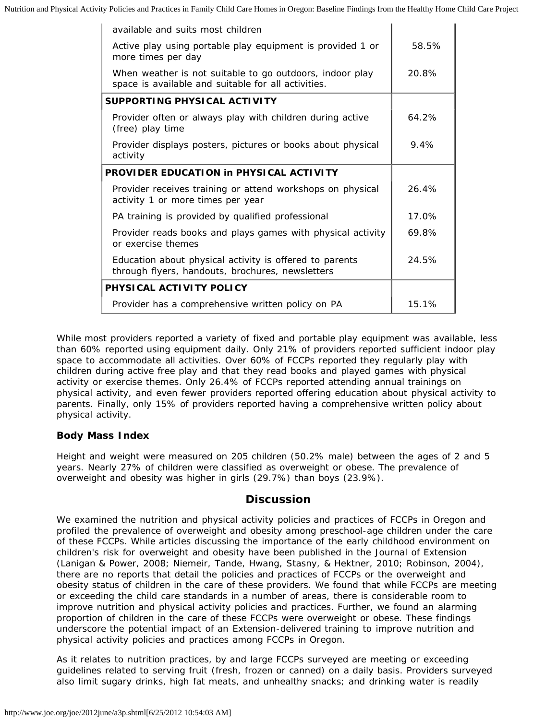| available and suits most children                                                                               |         |
|-----------------------------------------------------------------------------------------------------------------|---------|
| Active play using portable play equipment is provided 1 or<br>more times per day                                | 58.5%   |
| When weather is not suitable to go outdoors, indoor play<br>space is available and suitable for all activities. | 20.8%   |
| SUPPORTING PHYSICAL ACTIVITY                                                                                    |         |
| Provider often or always play with children during active<br>(free) play time                                   | 64.2%   |
| Provider displays posters, pictures or books about physical<br>activity                                         | $9.4\%$ |
| <b>PROVIDER EDUCATION in PHYSICAL ACTIVITY</b>                                                                  |         |
| Provider receives training or attend workshops on physical<br>activity 1 or more times per year                 | 26.4%   |
| PA training is provided by qualified professional                                                               | 17.0%   |
| Provider reads books and plays games with physical activity<br>or exercise themes                               | 69.8%   |
| Education about physical activity is offered to parents<br>through flyers, handouts, brochures, newsletters     | 24.5%   |
| PHYSICAL ACTIVITY POLICY                                                                                        |         |
| Provider has a comprehensive written policy on PA                                                               | 15.1%   |

While most providers reported a variety of fixed and portable play equipment was available, less than 60% reported using equipment daily. Only 21% of providers reported sufficient indoor play space to accommodate all activities. Over 60% of FCCPs reported they regularly play with children during active free play and that they read books and played games with physical activity or exercise themes. Only 26.4% of FCCPs reported attending annual trainings on physical activity, and even fewer providers reported offering education about physical activity to parents. Finally, only 15% of providers reported having a comprehensive written policy about physical activity.

#### **Body Mass Index**

Height and weight were measured on 205 children (50.2% male) between the ages of 2 and 5 years. Nearly 27% of children were classified as overweight or obese. The prevalence of overweight and obesity was higher in girls (29.7%) than boys (23.9%).

#### **Discussion**

We examined the nutrition and physical activity policies and practices of FCCPs in Oregon and profiled the prevalence of overweight and obesity among preschool-age children under the care of these FCCPs. While articles discussing the importance of the early childhood environment on children's risk for overweight and obesity have been published in the *Journal of Extension* (Lanigan & Power, 2008; Niemeir, Tande, Hwang, Stasny, & Hektner, 2010; Robinson, 2004), there are no reports that detail the policies and practices of FCCPs or the overweight and obesity status of children in the care of these providers. We found that while FCCPs are meeting or exceeding the child care standards in a number of areas, there is considerable room to improve nutrition and physical activity policies and practices. Further, we found an alarming proportion of children in the care of these FCCPs were overweight or obese. These findings underscore the potential impact of an Extension-delivered training to improve nutrition and physical activity policies and practices among FCCPs in Oregon.

As it relates to nutrition practices, by and large FCCPs surveyed are meeting or exceeding guidelines related to serving fruit (fresh, frozen or canned) on a daily basis. Providers surveyed also limit sugary drinks, high fat meats, and unhealthy snacks; and drinking water is readily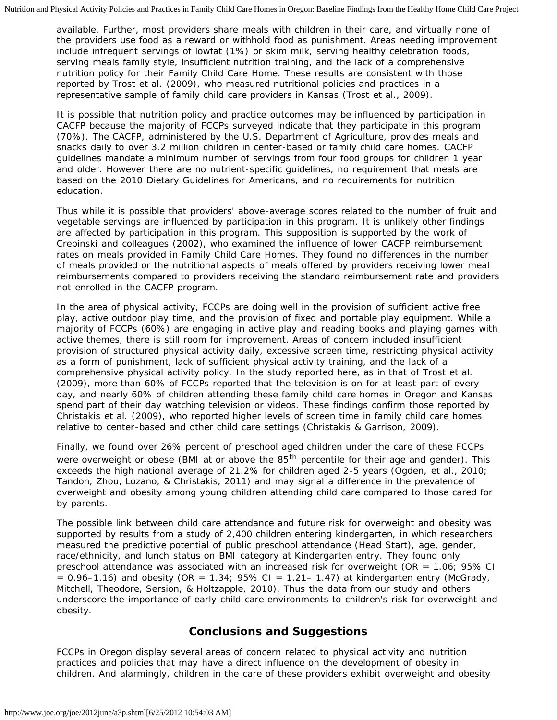available. Further, most providers share meals with children in their care, and virtually none of the providers use food as a reward or withhold food as punishment. Areas needing improvement include infrequent servings of lowfat (1%) or skim milk, serving healthy celebration foods, serving meals family style, insufficient nutrition training, and the lack of a comprehensive nutrition policy for their Family Child Care Home. These results are consistent with those reported by Trost et al. (2009), who measured nutritional policies and practices in a representative sample of family child care providers in Kansas (Trost et al., 2009).

It is possible that nutrition policy and practice outcomes may be influenced by participation in CACFP because the majority of FCCPs surveyed indicate that they participate in this program (70%). The CACFP, administered by the U.S. Department of Agriculture, provides meals and snacks daily to over 3.2 million children in center-based or family child care homes. CACFP guidelines mandate a minimum number of servings from four food groups for children 1 year and older. However there are no nutrient-specific guidelines, no requirement that meals are based on the 2010 Dietary Guidelines for Americans, and no requirements for nutrition education.

Thus while it is possible that providers' above-average scores related to the number of fruit and vegetable servings are influenced by participation in this program. It is unlikely other findings are affected by participation in this program. This supposition is supported by the work of Crepinski and colleagues (2002), who examined the influence of lower CACFP reimbursement rates on meals provided in Family Child Care Homes. They found no differences in the number of meals provided or the nutritional aspects of meals offered by providers receiving lower meal reimbursements compared to providers receiving the standard reimbursement rate and providers not enrolled in the CACFP program.

In the area of physical activity, FCCPs are doing well in the provision of sufficient active free play, active outdoor play time, and the provision of fixed and portable play equipment. While a majority of FCCPs (60%) are engaging in active play and reading books and playing games with active themes, there is still room for improvement. Areas of concern included insufficient provision of structured physical activity daily, excessive screen time, restricting physical activity as a form of punishment, lack of sufficient physical activity training, and the lack of a comprehensive physical activity policy. In the study reported here, as in that of Trost et al. (2009), more than 60% of FCCPs reported that the television is on for at least part of every day, and nearly 60% of children attending these family child care homes in Oregon and Kansas spend part of their day watching television or videos. These findings confirm those reported by Christakis et al. (2009), who reported higher levels of screen time in family child care homes relative to center-based and other child care settings (Christakis & Garrison, 2009).

Finally, we found over 26% percent of preschool aged children under the care of these FCCPs were overweight or obese (BMI at or above the  $85<sup>th</sup>$  percentile for their age and gender). This exceeds the high national average of 21.2% for children aged 2-5 years (Ogden, et al., 2010; Tandon, Zhou, Lozano, & Christakis, 2011) and may signal a difference in the prevalence of overweight and obesity among young children attending child care compared to those cared for by parents.

The possible link between child care attendance and future risk for overweight and obesity was supported by results from a study of 2,400 children entering kindergarten, in which researchers measured the predictive potential of public preschool attendance (Head Start), age, gender, race/ethnicity, and lunch status on BMI category at Kindergarten entry. They found only preschool attendance was associated with an increased risk for overweight (OR = 1.06; 95% CI  $= 0.96$ –1.16) and obesity (OR  $= 1.34$ ; 95% CI  $= 1.21$ –1.47) at kindergarten entry (McGrady, Mitchell, Theodore, Sersion, & Holtzapple, 2010). Thus the data from our study and others underscore the importance of early child care environments to children's risk for overweight and obesity.

#### **Conclusions and Suggestions**

FCCPs in Oregon display several areas of concern related to physical activity and nutrition practices and policies that may have a direct influence on the development of obesity in children. And alarmingly, children in the care of these providers exhibit overweight and obesity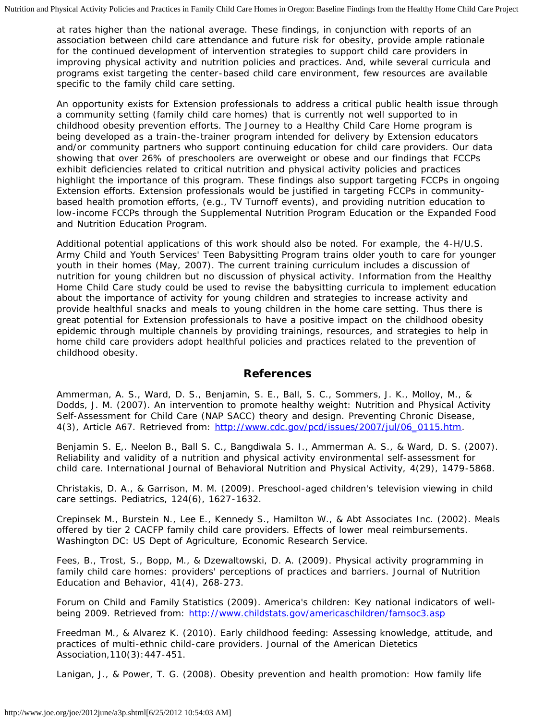at rates higher than the national average. These findings, in conjunction with reports of an association between child care attendance and future risk for obesity, provide ample rationale for the continued development of intervention strategies to support child care providers in improving physical activity and nutrition policies and practices. And, while several curricula and programs exist targeting the center-based child care environment, few resources are available specific to the family child care setting.

An opportunity exists for Extension professionals to address a critical public health issue through a community setting (family child care homes) that is currently not well supported to in childhood obesity prevention efforts. The Journey to a Healthy Child Care Home program is being developed as a train-the-trainer program intended for delivery by Extension educators and/or community partners who support continuing education for child care providers. Our data showing that over 26% of preschoolers are overweight or obese and our findings that FCCPs exhibit deficiencies related to critical nutrition and physical activity policies and practices highlight the importance of this program. These findings also support targeting FCCPs in ongoing Extension efforts. Extension professionals would be justified in targeting FCCPs in communitybased health promotion efforts, (e.g., TV Turnoff events), and providing nutrition education to low-income FCCPs through the Supplemental Nutrition Program Education or the Expanded Food and Nutrition Education Program.

Additional potential applications of this work should also be noted. For example, the 4-H/U.S. Army Child and Youth Services' Teen Babysitting Program trains older youth to care for younger youth in their homes (May, 2007). The current training curriculum includes a discussion of nutrition for young children but no discussion of physical activity. Information from the Healthy Home Child Care study could be used to revise the babysitting curricula to implement education about the importance of activity for young children and strategies to increase activity and provide healthful snacks and meals to young children in the home care setting. Thus there is great potential for Extension professionals to have a positive impact on the childhood obesity epidemic through multiple channels by providing trainings, resources, and strategies to help in home child care providers adopt healthful policies and practices related to the prevention of childhood obesity.

#### **References**

Ammerman, A. S., Ward, D. S., Benjamin, S. E., Ball, S. C., Sommers, J. K., Molloy, M., & Dodds, J. M. (2007). An intervention to promote healthy weight: Nutrition and Physical Activity Self-Assessment for Child Care (NAP SACC) theory and design. *Preventing Chronic Disease*, 4(3), Article A67. Retrieved from: [http://www.cdc.gov/pcd/issues/2007/jul/06\\_0115.htm.](http://www.cdc.gov/pcd/issues/2007/jul/06_0115.htm)

Benjamin S. E,. Neelon B., Ball S. C., Bangdiwala S. I., Ammerman A. S., & Ward, D. S. (2007). Reliability and validity of a nutrition and physical activity environmental self-assessment for child care. International Journal of Behavioral Nutrition and Physical Activity, 4(29), 1479-5868.

Christakis, D. A., & Garrison, M. M. (2009). Preschool-aged children's television viewing in child care settings. Pediatrics, 124(6), 1627-1632.

Crepinsek M., Burstein N., Lee E., Kennedy S., Hamilton W., & Abt Associates Inc. (2002). Meals offered by tier 2 CACFP family child care providers. Effects of lower meal reimbursements. Washington DC: US Dept of Agriculture, Economic Research Service.

Fees, B., Trost, S., Bopp, M., & Dzewaltowski, D. A. (2009). Physical activity programming in family child care homes: providers' perceptions of practices and barriers. Journal of Nutrition Education and Behavior, 41(4), 268-273.

Forum on Child and Family Statistics (2009). America's children: Key national indicators of wellbeing 2009. Retrieved from: <http://www.childstats.gov/americaschildren/famsoc3.asp>

Freedman M., & Alvarez K. (2010). Early childhood feeding: Assessing knowledge, attitude, and practices of multi-ethnic child-care providers. Journal of the American Dietetics Association,110(3):447-451.

Lanigan, J., & Power, T. G. (2008). Obesity prevention and health promotion: How family life